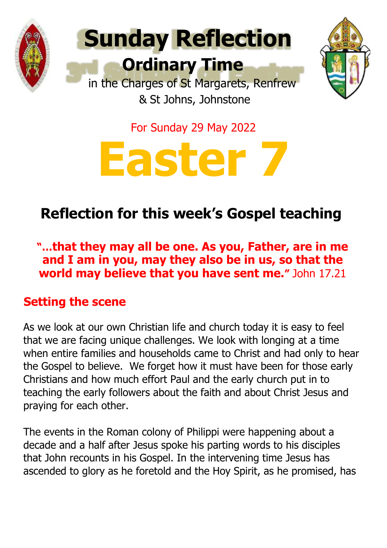



For Sunday 29 May 2022



# **Reflection for this week's Gospel teaching**

**"…that they may all be one. As you, Father, are in me and I am in you, may they also be in us, so that the world may believe that you have sent me."** John 17.21

### **Setting the scene**

As we look at our own Christian life and church today it is easy to feel that we are facing unique challenges. We look with longing at a time when entire families and households came to Christ and had only to hear the Gospel to believe. We forget how it must have been for those early Christians and how much effort Paul and the early church put in to teaching the early followers about the faith and about Christ Jesus and praying for each other.

The events in the Roman colony of Philippi were happening about a decade and a half after Jesus spoke his parting words to his disciples that John recounts in his Gospel. In the intervening time Jesus has ascended to glory as he foretold and the Hoy Spirit, as he promised, has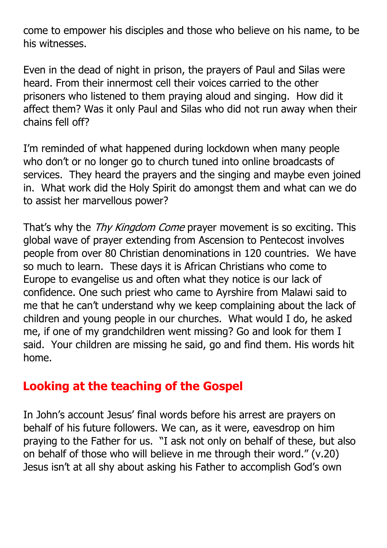come to empower his disciples and those who believe on his name, to be his witnesses.

Even in the dead of night in prison, the prayers of Paul and Silas were heard. From their innermost cell their voices carried to the other prisoners who listened to them praying aloud and singing. How did it affect them? Was it only Paul and Silas who did not run away when their chains fell off?

I'm reminded of what happened during lockdown when many people who don't or no longer go to church tuned into online broadcasts of services. They heard the prayers and the singing and maybe even joined in. What work did the Holy Spirit do amongst them and what can we do to assist her marvellous power?

That's why the Thy Kingdom Come prayer movement is so exciting. This global wave of prayer extending from Ascension to Pentecost involves people from over 80 Christian denominations in 120 countries. We have so much to learn. These days it is African Christians who come to Europe to evangelise us and often what they notice is our lack of confidence. One such priest who came to Ayrshire from Malawi said to me that he can't understand why we keep complaining about the lack of children and young people in our churches. What would I do, he asked me, if one of my grandchildren went missing? Go and look for them I said. Your children are missing he said, go and find them. His words hit home.

# **Looking at the teaching of the Gospel**

In John's account Jesus' final words before his arrest are prayers on behalf of his future followers. We can, as it were, eavesdrop on him praying to the Father for us. "I ask not only on behalf of these, but also on behalf of those who will believe in me through their word." (v.20) Jesus isn't at all shy about asking his Father to accomplish God's own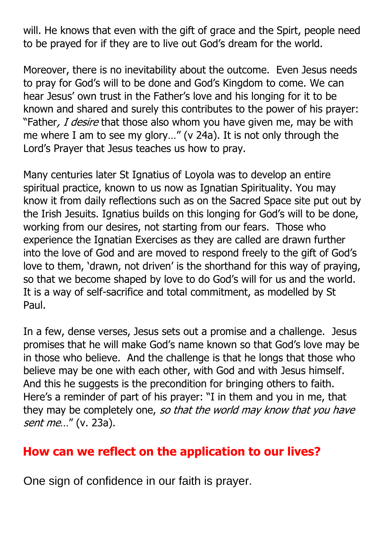will. He knows that even with the gift of grace and the Spirt, people need to be prayed for if they are to live out God's dream for the world.

Moreover, there is no inevitability about the outcome. Even Jesus needs to pray for God's will to be done and God's Kingdom to come. We can hear Jesus' own trust in the Father's love and his longing for it to be known and shared and surely this contributes to the power of his prayer: "Father, I desire that those also whom you have given me, may be with me where I am to see my glory…" (v 24a). It is not only through the Lord's Prayer that Jesus teaches us how to pray.

Many centuries later St Ignatius of Loyola was to develop an entire spiritual practice, known to us now as Ignatian Spirituality. You may know it from daily reflections such as on the Sacred Space site put out by the Irish Jesuits. Ignatius builds on this longing for God's will to be done, working from our desires, not starting from our fears. Those who experience the Ignatian Exercises as they are called are drawn further into the love of God and are moved to respond freely to the gift of God's love to them, 'drawn, not driven' is the shorthand for this way of praying, so that we become shaped by love to do God's will for us and the world. It is a way of self-sacrifice and total commitment, as modelled by St Paul.

In a few, dense verses, Jesus sets out a promise and a challenge. Jesus promises that he will make God's name known so that God's love may be in those who believe. And the challenge is that he longs that those who believe may be one with each other, with God and with Jesus himself. And this he suggests is the precondition for bringing others to faith. Here's a reminder of part of his prayer: "I in them and you in me, that they may be completely one, so that the world may know that you have sent me..." (v. 23a).

# **How can we reflect on the application to our lives?**

One sign of confidence in our faith is prayer.